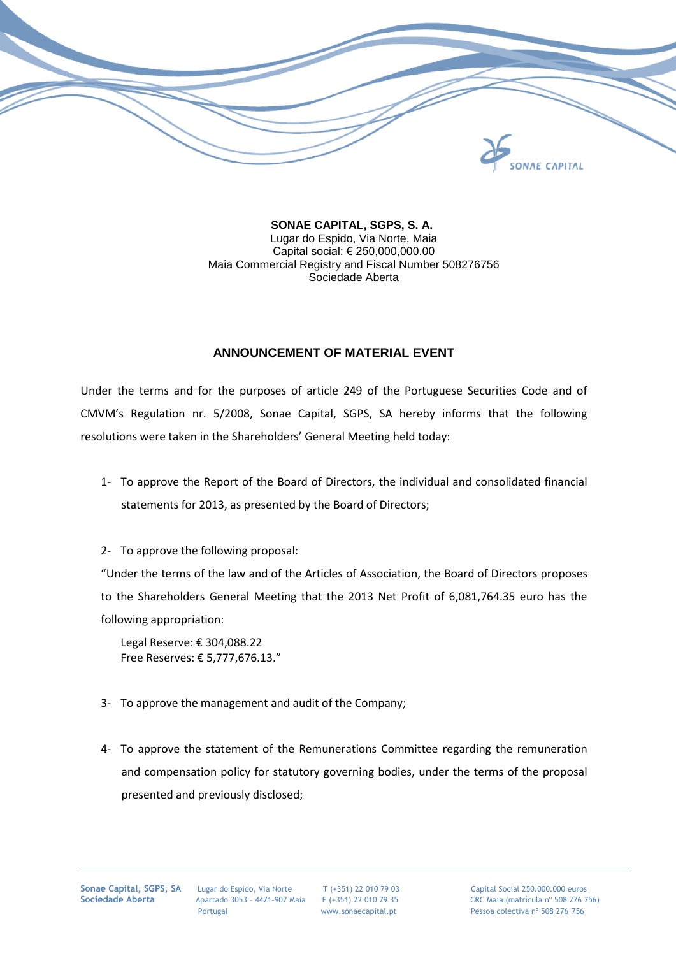

 **SONAE CAPITAL, SGPS, S. A.** Lugar do Espido, Via Norte, Maia Capital social: € 250,000,000.00 Maia Commercial Registry and Fiscal Number 508276756 Sociedade Aberta

## **ANNOUNCEMENT OF MATERIAL EVENT**

Under the terms and for the purposes of article 249 of the Portuguese Securities Code and of CMVM's Regulation nr. 5/2008, Sonae Capital, SGPS, SA hereby informs that the following resolutions were taken in the Shareholders' General Meeting held today:

- 1- To approve the Report of the Board of Directors, the individual and consolidated financial statements for 2013, as presented by the Board of Directors;
- 2- To approve the following proposal:

"Under the terms of the law and of the Articles of Association, the Board of Directors proposes to the Shareholders General Meeting that the 2013 Net Profit of 6,081,764.35 euro has the following appropriation:

Legal Reserve: € 304,088.22 Free Reserves: € 5,777,676.13."

- 3- To approve the management and audit of the Company;
- 4- To approve the statement of the Remunerations Committee regarding the remuneration and compensation policy for statutory governing bodies, under the terms of the proposal presented and previously disclosed;